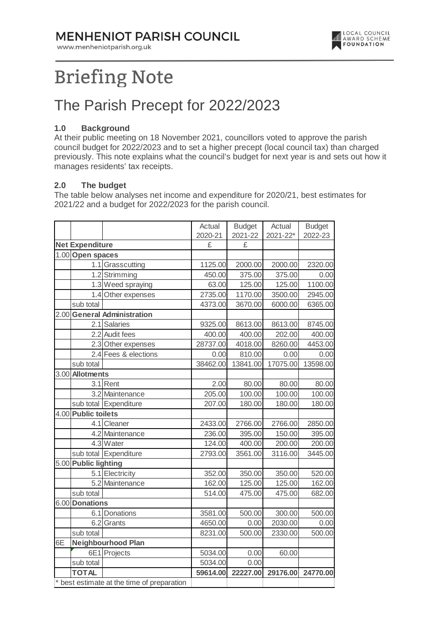### **MENHENIOT PARISH COUNCIL**

www.menheniotparish.org.uk



# **Briefing Note**

## The Parish Precept for 2022/2023

#### **1.0 Background**

At their public meeting on 18 November 2021, councillors voted to approve the parish council budget for 2022/2023 and to set a higher precept (local council tax) than charged previously. This note explains what the council's budget for next year is and sets out how it manages residents' tax receipts.

#### **2.0 The budget**

The table below analyses net income and expenditure for 2020/21, best estimates for 2021/22 and a budget for 2022/2023 for the parish council.

|                                          |                             |                       | Actual   | <b>Budget</b> | Actual   | <b>Budget</b> |  |
|------------------------------------------|-----------------------------|-----------------------|----------|---------------|----------|---------------|--|
|                                          |                             |                       | 2020-21  | 2021-22       | 2021-22* | 2022-23       |  |
|                                          | <b>Net Expenditure</b>      |                       | £        | £             |          |               |  |
|                                          | 1.00 Open spaces            |                       |          |               |          |               |  |
|                                          |                             | 1.1 Grasscutting      | 1125.00  | 2000.00       | 2000.00  | 2320.00       |  |
|                                          |                             | 1.2 Strimming         | 450.00   | 375.00        | 375.00   | 0.00          |  |
|                                          |                             | 1.3 Weed spraying     | 63.00    | 125.00        | 125.00   | 1100.00       |  |
|                                          |                             | 1.4 Other expenses    | 2735.00  | 1170.00       | 3500.00  | 2945.00       |  |
|                                          | sub total                   |                       | 4373.00  | 3670.00       | 6000.00  | 6365.00       |  |
|                                          | 2.00 General Administration |                       |          |               |          |               |  |
|                                          |                             | 2.1 Salaries          | 9325.00  | 8613.00       | 8613.00  | 8745.00       |  |
|                                          |                             | 2.2 Audit fees        | 400.00   | 400.00        | 202.00   | 400.00        |  |
|                                          |                             | 2.3 Other expenses    | 28737.00 | 4018.00       | 8260.00  | 4453.00       |  |
|                                          |                             | 2.4 Fees & elections  | 0.00     | 810.00        | 0.00     | 0.00          |  |
|                                          | sub total                   |                       | 38462.00 | 13841.00      | 17075.00 | 13598.00      |  |
|                                          | 3.00 Allotments             |                       |          |               |          |               |  |
|                                          |                             | 3.1 Rent              | 2.00     | 80.00         | 80.00    | 80.00         |  |
|                                          |                             | 3.2 Maintenance       | 205.00   | 100.00        | 100.00   | 100.00        |  |
|                                          |                             | sub total Expenditure | 207.00   | 180.00        | 180.00   | 180.00        |  |
|                                          | 4.00 Public toilets         |                       |          |               |          |               |  |
|                                          |                             | 4.1 Cleaner           | 2433.00  | 2766.00       | 2766.00  | 2850.00       |  |
|                                          |                             | 4.2 Maintenance       | 236.00   | 395.00        | 150.00   | 395.00        |  |
|                                          |                             | 4.3 Water             | 124.00   | 400.00        | 200.00   | 200.00        |  |
|                                          |                             | sub total Expenditure | 2793.00  | 3561.00       | 3116.00  | 3445.00       |  |
|                                          | 5.00 Public lighting        |                       |          |               |          |               |  |
|                                          |                             | 5.1 Electricity       | 352.00   | 350.00        | 350.00   | 520.00        |  |
|                                          |                             | 5.2 Maintenance       | 162.00   | 125.00        | 125.00   | 162.00        |  |
|                                          | sub total                   |                       | 514.00   | 475.00        | 475.00   | 682.00        |  |
|                                          | 6.00 Donations              |                       |          |               |          |               |  |
|                                          |                             | 6.1 Donations         | 3581.00  | 500.00        | 300.00   | 500.00        |  |
|                                          |                             | 6.2 Grants            | 4650.00  | 0.00          | 2030.00  | 0.00          |  |
|                                          | sub total                   |                       | 8231.00  | 500.00        | 2330.00  | 500.00        |  |
| 6E                                       | <b>Neighbourhood Plan</b>   |                       |          |               |          |               |  |
|                                          |                             | 6E1 Projects          | 5034.00  | 0.00          | 60.00    |               |  |
|                                          | sub total                   |                       | 5034.00  | 0.00          |          |               |  |
|                                          | <b>TOTAL</b>                |                       | 59614.00 | 22227.00      | 29176.00 | 24770.00      |  |
| best estimate at the time of preparation |                             |                       |          |               |          |               |  |